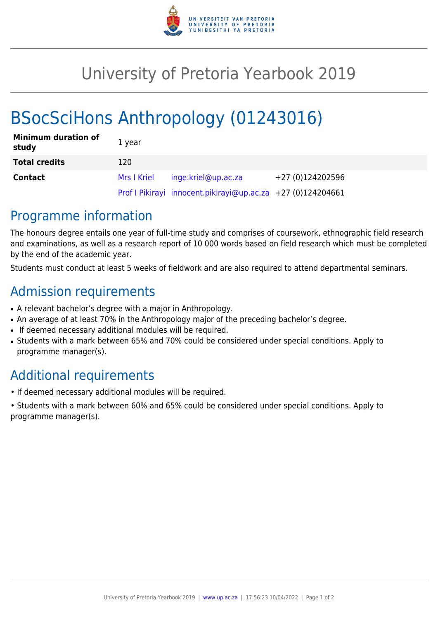

## University of Pretoria Yearbook 2019

# BSocSciHons Anthropology (01243016)

| <b>Minimum duration of</b><br>study | 1 year      |                                                             |                  |
|-------------------------------------|-------------|-------------------------------------------------------------|------------------|
| <b>Total credits</b>                | 120         |                                                             |                  |
| <b>Contact</b>                      | Mrs I Kriel | inge.kriel@up.ac.za                                         | +27 (0)124202596 |
|                                     |             | Prof I Pikirayi innocent.pikirayi@up.ac.za +27 (0)124204661 |                  |

### Programme information

The honours degree entails one year of full-time study and comprises of coursework, ethnographic field research and examinations, as well as a research report of 10 000 words based on field research which must be completed by the end of the academic year.

Students must conduct at least 5 weeks of fieldwork and are also required to attend departmental seminars.

#### Admission requirements

- A relevant bachelor's degree with a major in Anthropology.
- An average of at least 70% in the Anthropology major of the preceding bachelor's degree.
- If deemed necessary additional modules will be required.
- Students with a mark between 65% and 70% could be considered under special conditions. Apply to programme manager(s).

## Additional requirements

- If deemed necessary additional modules will be required.
- Students with a mark between 60% and 65% could be considered under special conditions. Apply to programme manager(s).